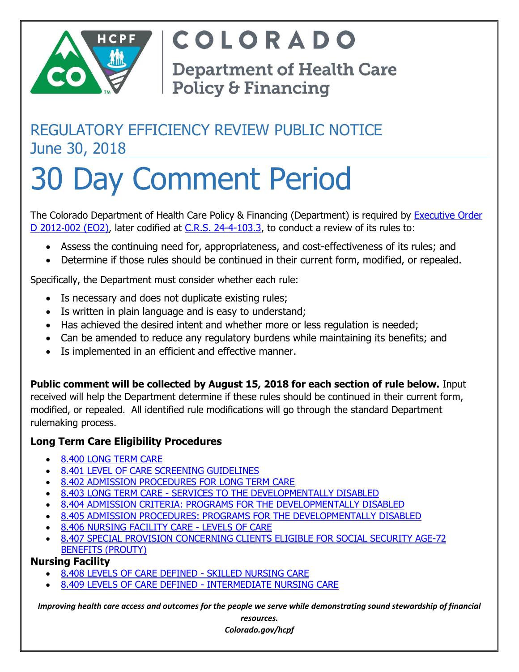

COLORADO

**Department of Health Care Policy & Financing** 

## REGULATORY EFFICIENCY REVIEW PUBLIC NOTICE June 30, 2018

# 30 Day Comment Period

The Colorado Department of Health Care Policy & Financing (Department) is required by [Executive Order](https://www.colorado.gov/pacific/governor/atom/18016)  D 2012-[002 \(EO2\),](https://www.colorado.gov/pacific/governor/atom/18016) later codified at [C.R.S. 24-4-103.3,](https://www.lexisnexis.com/hottopics/colorado?source=COLO;CODE&tocpath=1W8KUUS008YBS4JDA,2TSKVHQBIS9AOUSCX,3LSIKKF5U9K86ELHP;1SLFKOROE3F9I8E8E,2US0WO0QM8UWN2QSP,3MWHPW0METRGSSDDS;1T0K4C54I6K5FOH0Z,22SD8B7I80JKS8K17,3WI7NLI3HFPHBYE9U;18Q97JKSLFKORK) to conduct a review of its rules to:

- Assess the continuing need for, appropriateness, and cost-effectiveness of its rules; and
- Determine if those rules should be continued in their current form, modified, or repealed.

Specifically, the Department must consider whether each rule:

- Is necessary and does not duplicate existing rules;
- Is written in plain language and is easy to understand;
- Has achieved the desired intent and whether more or less regulation is needed;
- Can be amended to reduce any regulatory burdens while maintaining its benefits; and
- Is implemented in an efficient and effective manner.

**Public comment will be collected by August 15, 2018 for each section of rule below.** Input

received will help the Department determine if these rules should be continued in their current form, modified, or repealed. All identified rule modifications will go through the standard Department rulemaking process.

## **Long Term Care Eligibility Procedures**

- [8.400 LONG TERM CARE](http://www.sos.state.co.us/CCR/GenerateRulePdf.do?ruleVersionId=7317&fileName=10%20CCR%202505-10%208.400)
- [8.401 LEVEL OF CARE SCREENING GUIDELINES](http://www.sos.state.co.us/CCR/GenerateRulePdf.do?ruleVersionId=7317&fileName=10%20CCR%202505-10%208.400)
- [8.402 ADMISSION PROCEDURES FOR LONG TERM CARE](http://www.sos.state.co.us/CCR/GenerateRulePdf.do?ruleVersionId=7317&fileName=10%20CCR%202505-10%208.400)
- 8.403 LONG TERM CARE [SERVICES TO THE DEVELOPMENTALLY DISABLED](http://www.sos.state.co.us/CCR/GenerateRulePdf.do?ruleVersionId=7317&fileName=10%20CCR%202505-10%208.400)
- [8.404 ADMISSION CRITERIA: PROGRAMS FOR THE DEVELOPMENTALLY DISABLED](http://www.sos.state.co.us/CCR/GenerateRulePdf.do?ruleVersionId=7317&fileName=10%20CCR%202505-10%208.400)
- [8.405 ADMISSION PROCEDURES: PROGRAMS FOR THE DEVELOPMENTALLY DISABLED](http://www.sos.state.co.us/CCR/GenerateRulePdf.do?ruleVersionId=7317&fileName=10%20CCR%202505-10%208.400)
- [8.406 NURSING FACILITY CARE -](http://www.sos.state.co.us/CCR/GenerateRulePdf.do?ruleVersionId=7317&fileName=10%20CCR%202505-10%208.400) LEVELS OF CARE
- [8.407 SPECIAL PROVISION CONCERNING CLIENTS ELIGIBLE FOR SOCIAL SECURITY AGE-72](http://www.sos.state.co.us/CCR/GenerateRulePdf.do?ruleVersionId=7317&fileName=10%20CCR%202505-10%208.400)  [BENEFITS \(PROUTY\)](http://www.sos.state.co.us/CCR/GenerateRulePdf.do?ruleVersionId=7317&fileName=10%20CCR%202505-10%208.400)

## **Nursing Facility**

- [8.408 LEVELS OF CARE DEFINED -](http://www.sos.state.co.us/CCR/GenerateRulePdf.do?ruleVersionId=7317&fileName=10%20CCR%202505-10%208.400) SKILLED NURSING CARE
- [8.409 LEVELS OF CARE DEFINED -](http://www.sos.state.co.us/CCR/GenerateRulePdf.do?ruleVersionId=7317&fileName=10%20CCR%202505-10%208.400) INTERMEDIATE NURSING CARE

*Improving health care access and outcomes for the people we serve while demonstrating sound stewardship of financial* 

*resources. Colorado.gov/hcpf*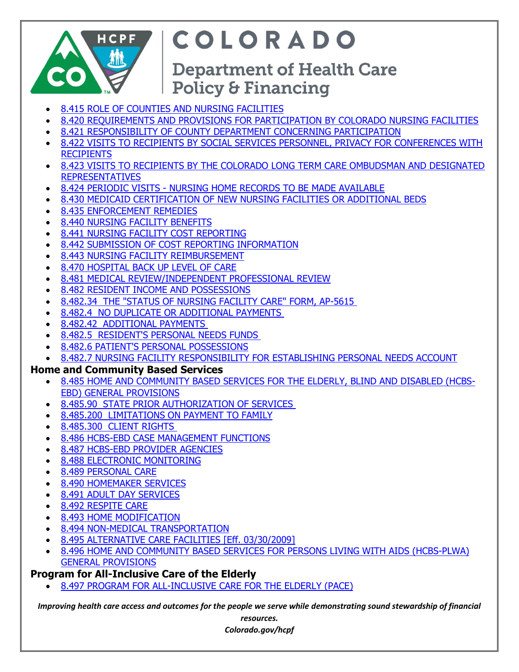

## COLORADO

## **Department of Health Care Policy & Financing**

- [8.415 ROLE OF COUNTIES AND NURSING FACILITIES](http://www.sos.state.co.us/CCR/GenerateRulePdf.do?ruleVersionId=7317&fileName=10%20CCR%202505-10%208.400)
- [8.420 REQUIREMENTS AND PROVISIONS FOR PARTICIPATION BY COLORADO NURSING FACILITIES](http://www.sos.state.co.us/CCR/GenerateRulePdf.do?ruleVersionId=7317&fileName=10%20CCR%202505-10%208.400)
- [8.421 RESPONSIBILITY OF COUNTY DEPARTMENT CONCERNING PARTICIPATION](http://www.sos.state.co.us/CCR/GenerateRulePdf.do?ruleVersionId=7317&fileName=10%20CCR%202505-10%208.400)
- [8.422 VISITS TO RECIPIENTS BY SOCIAL SERVICES PERSONNEL, PRIVACY FOR CONFERENCES WITH](http://www.sos.state.co.us/CCR/GenerateRulePdf.do?ruleVersionId=7317&fileName=10%20CCR%202505-10%208.400) **[RECIPIENTS](http://www.sos.state.co.us/CCR/GenerateRulePdf.do?ruleVersionId=7317&fileName=10%20CCR%202505-10%208.400)**
- [8.423 VISITS TO RECIPIENTS BY THE COLORADO LONG TERM CARE OMBUDSMAN AND DESIGNATED](http://www.sos.state.co.us/CCR/GenerateRulePdf.do?ruleVersionId=7317&fileName=10%20CCR%202505-10%208.400)  [REPRESENTATIVES](http://www.sos.state.co.us/CCR/GenerateRulePdf.do?ruleVersionId=7317&fileName=10%20CCR%202505-10%208.400)
- 8.424 PERIODIC VISITS [NURSING HOME RECORDS TO BE MADE AVAILABLE](http://www.sos.state.co.us/CCR/GenerateRulePdf.do?ruleVersionId=7317&fileName=10%20CCR%202505-10%208.400)
- [8.430 MEDICAID CERTIFICATION OF NEW NURSING FACILITIES OR ADDITIONAL BEDS](http://www.sos.state.co.us/CCR/GenerateRulePdf.do?ruleVersionId=7317&fileName=10%20CCR%202505-10%208.400)
- [8.435 ENFORCEMENT REMEDIES](http://www.sos.state.co.us/CCR/GenerateRulePdf.do?ruleVersionId=7317&fileName=10%20CCR%202505-10%208.400)
- [8.440 NURSING FACILITY BENEFITS](http://www.sos.state.co.us/CCR/GenerateRulePdf.do?ruleVersionId=7317&fileName=10%20CCR%202505-10%208.400)
- [8.441 NURSING FACILITY COST REPORTING](http://www.sos.state.co.us/CCR/GenerateRulePdf.do?ruleVersionId=7317&fileName=10%20CCR%202505-10%208.400)
- [8.442 SUBMISSION OF COST REPORTING INFORMATION](http://www.sos.state.co.us/CCR/GenerateRulePdf.do?ruleVersionId=7317&fileName=10%20CCR%202505-10%208.400)
- [8.443 NURSING FACILITY REIMBURSEMENT](http://www.sos.state.co.us/CCR/GenerateRulePdf.do?ruleVersionId=7317&fileName=10%20CCR%202505-10%208.400)
- [8.470 HOSPITAL BACK UP LEVEL OF CARE](http://www.sos.state.co.us/CCR/GenerateRulePdf.do?ruleVersionId=7317&fileName=10%20CCR%202505-10%208.400)
- [8.481 MEDICAL REVIEW/INDEPENDENT PROFESSIONAL REVIEW](http://www.sos.state.co.us/CCR/GenerateRulePdf.do?ruleVersionId=7317&fileName=10%20CCR%202505-10%208.400)
- [8.482 RESIDENT INCOME AND POSSESSIONS](http://www.sos.state.co.us/CCR/GenerateRulePdf.do?ruleVersionId=7317&fileName=10%20CCR%202505-10%208.400)
- 8.482.34 THE "STATUS [OF NURSING FACILITY CARE" FORM, AP-5615](http://www.sos.state.co.us/CCR/GenerateRulePdf.do?ruleVersionId=7317&fileName=10%20CCR%202505-10%208.400)
- [8.482.4 NO DUPLICATE OR ADDITIONAL PAYMENTS](http://www.sos.state.co.us/CCR/GenerateRulePdf.do?ruleVersionId=7317&fileName=10%20CCR%202505-10%208.400)
- [8.482.42 ADDITIONAL PAYMENTS](http://www.sos.state.co.us/CCR/GenerateRulePdf.do?ruleVersionId=7317&fileName=10%20CCR%202505-10%208.400)
- [8.482.5 RESIDENT'S PERSONAL NEEDS FUNDS](http://www.sos.state.co.us/CCR/GenerateRulePdf.do?ruleVersionId=7317&fileName=10%20CCR%202505-10%208.400)
- [8.482.6 PATIENT'S PERSONAL POSSESSIONS](http://www.sos.state.co.us/CCR/GenerateRulePdf.do?ruleVersionId=7317&fileName=10%20CCR%202505-10%208.400)
- [8.482.7 NURSING FACILITY RESPONSIBILITY FOR ESTABLISHING PERSONAL NEEDS ACCOUNT](http://www.sos.state.co.us/CCR/GenerateRulePdf.do?ruleVersionId=7317&fileName=10%20CCR%202505-10%208.400)

## **Home and Community Based Services**

- [8.485 HOME AND COMMUNITY BASED SERVICES FOR THE ELDERLY, BLIND AND DISABLED \(HCBS-](http://www.sos.state.co.us/CCR/GenerateRulePdf.do?ruleVersionId=7317&fileName=10%20CCR%202505-10%208.400)[EBD\) GENERAL PROVISIONS](http://www.sos.state.co.us/CCR/GenerateRulePdf.do?ruleVersionId=7317&fileName=10%20CCR%202505-10%208.400)
- [8.485.90 STATE PRIOR AUTHORIZATION OF SERVICES](http://www.sos.state.co.us/CCR/GenerateRulePdf.do?ruleVersionId=7317&fileName=10%20CCR%202505-10%208.400)
- [8.485.200 LIMITATIONS ON PAYMENT TO FAMILY](http://www.sos.state.co.us/CCR/GenerateRulePdf.do?ruleVersionId=7317&fileName=10%20CCR%202505-10%208.400)
- [8.485.300 CLIENT RIGHTS](http://www.sos.state.co.us/CCR/GenerateRulePdf.do?ruleVersionId=7317&fileName=10%20CCR%202505-10%208.400)
- [8.486 HCBS-EBD CASE MANAGEMENT FUNCTIONS](http://www.sos.state.co.us/CCR/GenerateRulePdf.do?ruleVersionId=7317&fileName=10%20CCR%202505-10%208.400)
- [8.487 HCBS-EBD PROVIDER AGENCIES](http://www.sos.state.co.us/CCR/GenerateRulePdf.do?ruleVersionId=7317&fileName=10%20CCR%202505-10%208.400)
- [8.488 ELECTRONIC MONITORING](http://www.sos.state.co.us/CCR/GenerateRulePdf.do?ruleVersionId=7317&fileName=10%20CCR%202505-10%208.400)
- [8.489 PERSONAL CARE](http://www.sos.state.co.us/CCR/GenerateRulePdf.do?ruleVersionId=7317&fileName=10%20CCR%202505-10%208.400)
- [8.490 HOMEMAKER SERVICES](http://www.sos.state.co.us/CCR/GenerateRulePdf.do?ruleVersionId=7317&fileName=10%20CCR%202505-10%208.400)
- [8.491 ADULT DAY SERVICES](http://www.sos.state.co.us/CCR/GenerateRulePdf.do?ruleVersionId=7317&fileName=10%20CCR%202505-10%208.400)
- [8.492 RESPITE CARE](http://www.sos.state.co.us/CCR/GenerateRulePdf.do?ruleVersionId=7317&fileName=10%20CCR%202505-10%208.400)
- [8.493 HOME MODIFICATION](http://www.sos.state.co.us/CCR/GenerateRulePdf.do?ruleVersionId=7317&fileName=10%20CCR%202505-10%208.400)
- [8.494 NON-MEDICAL TRANSPORTATION](http://www.sos.state.co.us/CCR/GenerateRulePdf.do?ruleVersionId=7317&fileName=10%20CCR%202505-10%208.400)
- [8.495 ALTERNATIVE CARE FACILITIES \[Eff. 03/30/2009\]](http://www.sos.state.co.us/CCR/GenerateRulePdf.do?ruleVersionId=7317&fileName=10%20CCR%202505-10%208.400)
- [8.496 HOME AND COMMUNITY BASED SERVICES FOR PERSONS LIVING WITH AIDS \(HCBS-PLWA\)](http://www.sos.state.co.us/CCR/GenerateRulePdf.do?ruleVersionId=7317&fileName=10%20CCR%202505-10%208.400)  [GENERAL PROVISIONS](http://www.sos.state.co.us/CCR/GenerateRulePdf.do?ruleVersionId=7317&fileName=10%20CCR%202505-10%208.400)

## **Program for All-Inclusive Care of the Elderly**

• [8.497 PROGRAM FOR ALL-INCLUSIVE CARE FOR THE ELDERLY \(PACE\)](http://www.sos.state.co.us/CCR/GenerateRulePdf.do?ruleVersionId=7317&fileName=10%20CCR%202505-10%208.400)

*Improving health care access and outcomes for the people we serve while demonstrating sound stewardship of financial* 

*resources. Colorado.gov/hcpf*